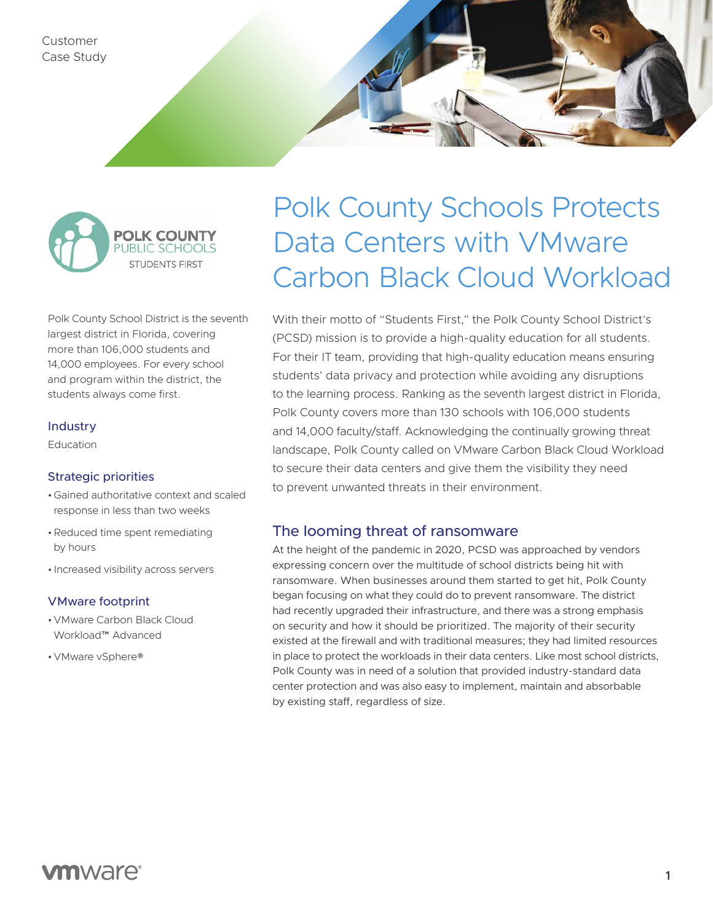Customer Case Study



Polk County School District is the seventh largest district in Florida, covering more than 106,000 students and 14,000 employees. For every school and program within the district, the students always come first.

## Industry

Education

## Strategic priorities

- •Gained authoritative context and scaled response in less than two weeks
- •Reduced time spent remediating by hours
- Increased visibility across servers

## VMware footprint

- •VMware Carbon Black Cloud Workload™ Advanced
- •VMware vSphere®

# Polk County Schools Protects Data Centers with VMware Carbon Black Cloud Workload

With their motto of "Students First," the Polk County School District's (PCSD) mission is to provide a high-quality education for all students. For their IT team, providing that high-quality education means ensuring students' data privacy and protection while avoiding any disruptions to the learning process. Ranking as the seventh largest district in Florida, Polk County covers more than 130 schools with 106,000 students and 14,000 faculty/staff. Acknowledging the continually growing threat landscape, Polk County called on VMware Carbon Black Cloud Workload to secure their data centers and give them the visibility they need to prevent unwanted threats in their environment.

## The looming threat of ransomware

At the height of the pandemic in 2020, PCSD was approached by vendors expressing concern over the multitude of school districts being hit with ransomware. When businesses around them started to get hit, Polk County began focusing on what they could do to prevent ransomware. The district had recently upgraded their infrastructure, and there was a strong emphasis on security and how it should be prioritized. The majority of their security existed at the firewall and with traditional measures; they had limited resources in place to protect the workloads in their data centers. Like most school districts, Polk County was in need of a solution that provided industry-standard data center protection and was also easy to implement, maintain and absorbable by existing staff, regardless of size.

# **vm**ware<sup>®</sup>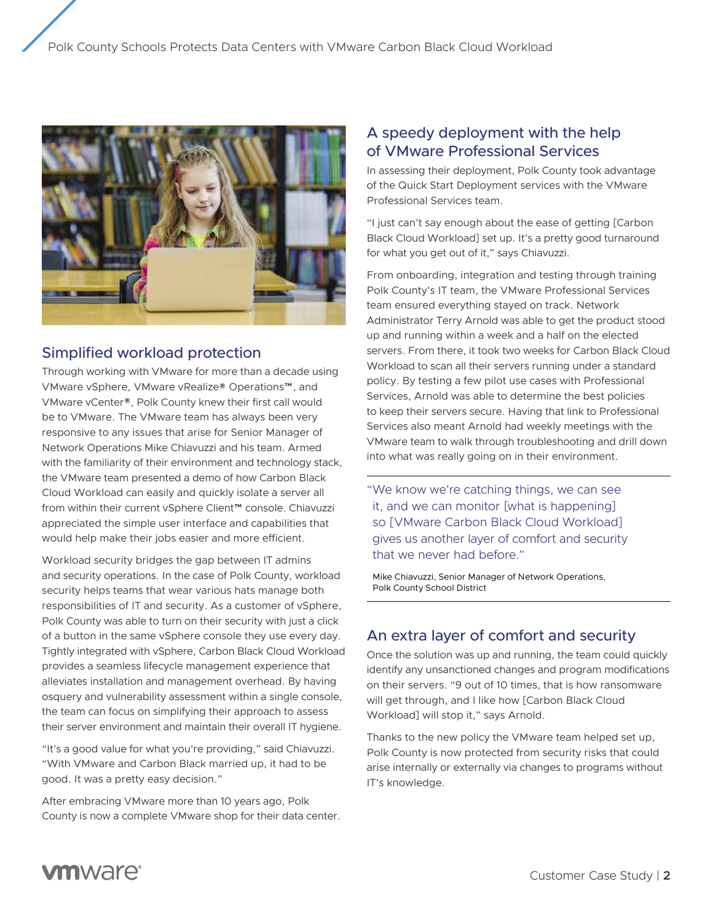

## Simplified workload protection

Through working with VMware for more than a decade using VMware vSphere, VMware vRealize® Operations™, and VMware vCenter®, Polk County knew their first call would be to VMware. The VMware team has always been very responsive to any issues that arise for Senior Manager of Network Operations Mike Chiavuzzi and his team. Armed with the familiarity of their environment and technology stack, the VMware team presented a demo of how Carbon Black Cloud Workload can easily and quickly isolate a server all from within their current vSphere Client™ console. Chiavuzzi appreciated the simple user interface and capabilities that would help make their jobs easier and more efficient.

Workload security bridges the gap between IT admins and security operations. In the case of Polk County, workload security helps teams that wear various hats manage both responsibilities of IT and security. As a customer of vSphere, Polk County was able to turn on their security with just a click of a button in the same vSphere console they use every day. Tightly integrated with vSphere, Carbon Black Cloud Workload provides a seamless lifecycle management experience that alleviates installation and management overhead. By having osquery and vulnerability assessment within a single console, the team can focus on simplifying their approach to assess their server environment and maintain their overall IT hygiene.

"It's a good value for what you're providing," said Chiavuzzi. "With VMware and Carbon Black married up, it had to be good. It was a pretty easy decision."

After embracing VMware more than 10 years ago, Polk County is now a complete VMware shop for their data center.

## A speedy deployment with the help of VMware Professional Services

In assessing their deployment, Polk County took advantage of the Quick Start Deployment services with the VMware Professional Services team.

"I just can't say enough about the ease of getting [Carbon Black Cloud Workload] set up. It's a pretty good turnaround for what you get out of it," says Chiavuzzi.

From onboarding, integration and testing through training Polk County's IT team, the VMware Professional Services team ensured everything stayed on track. Network Administrator Terry Arnold was able to get the product stood up and running within a week and a half on the elected servers. From there, it took two weeks for Carbon Black Cloud Workload to scan all their servers running under a standard policy. By testing a few pilot use cases with Professional Services, Arnold was able to determine the best policies to keep their servers secure. Having that link to Professional Services also meant Arnold had weekly meetings with the VMware team to walk through troubleshooting and drill down into what was really going on in their environment.

"We know we're catching things, we can see it, and we can monitor [what is happening] so [VMware Carbon Black Cloud Workload] gives us another layer of comfort and security that we never had before."

Mike Chiavuzzi, Senior Manager of Network Operations, Polk County School District

# An extra layer of comfort and security

Once the solution was up and running, the team could quickly identify any unsanctioned changes and program modifications on their servers. "9 out of 10 times, that is how ransomware will get through, and I like how [Carbon Black Cloud Workload] will stop it," says Arnold.

Thanks to the new policy the VMware team helped set up, Polk County is now protected from security risks that could arise internally or externally via changes to programs without IT's knowledge.